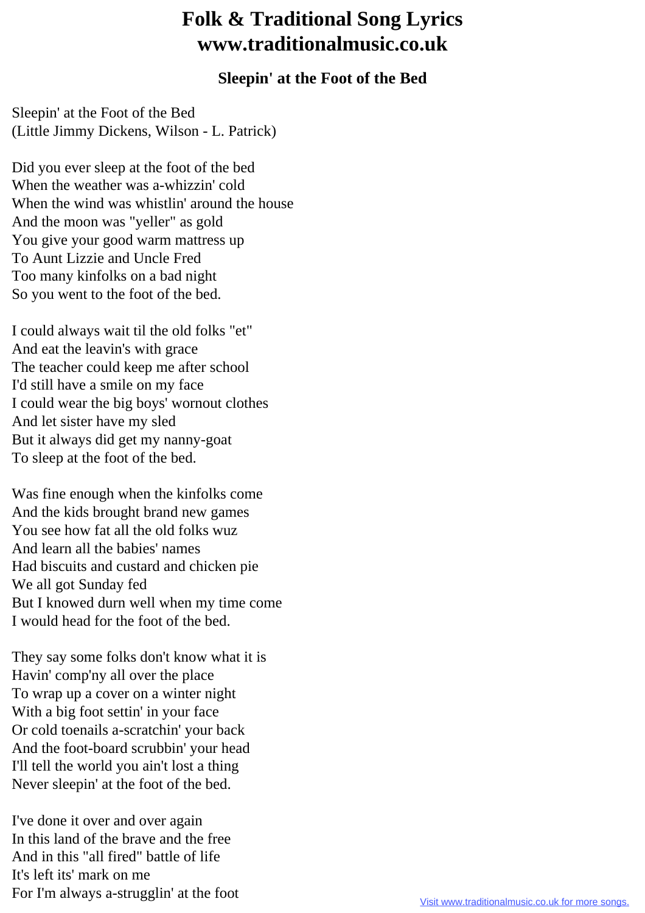## **Folk & Traditional Song Lyrics www.traditionalmusic.co.uk**

## **Sleepin' at the Foot of the Bed**

Sleepin' at the Foot of the Bed (Little Jimmy Dickens, Wilson - L. Patrick)

Did you ever sleep at the foot of the bed When the weather was a-whizzin' cold When the wind was whistlin' around the house And the moon was "yeller" as gold You give your good warm mattress up To Aunt Lizzie and Uncle Fred Too many kinfolks on a bad night So you went to the foot of the bed.

I could always wait til the old folks "et" And eat the leavin's with grace The teacher could keep me after school I'd still have a smile on my face I could wear the big boys' wornout clothes And let sister have my sled But it always did get my nanny-goat To sleep at the foot of the bed.

Was fine enough when the kinfolks come And the kids brought brand new games You see how fat all the old folks wuz And learn all the babies' names Had biscuits and custard and chicken pie We all got Sunday fed But I knowed durn well when my time come I would head for the foot of the bed.

They say some folks don't know what it is Havin' comp'ny all over the place To wrap up a cover on a winter night With a big foot settin' in your face Or cold toenails a-scratchin' your back And the foot-board scrubbin' your head I'll tell the world you ain't lost a thing Never sleepin' at the foot of the bed.

I've done it over and over again In this land of the brave and the free And in this "all fired" battle of life It's left its' mark on me For I'm always a-strugglin' at the foot